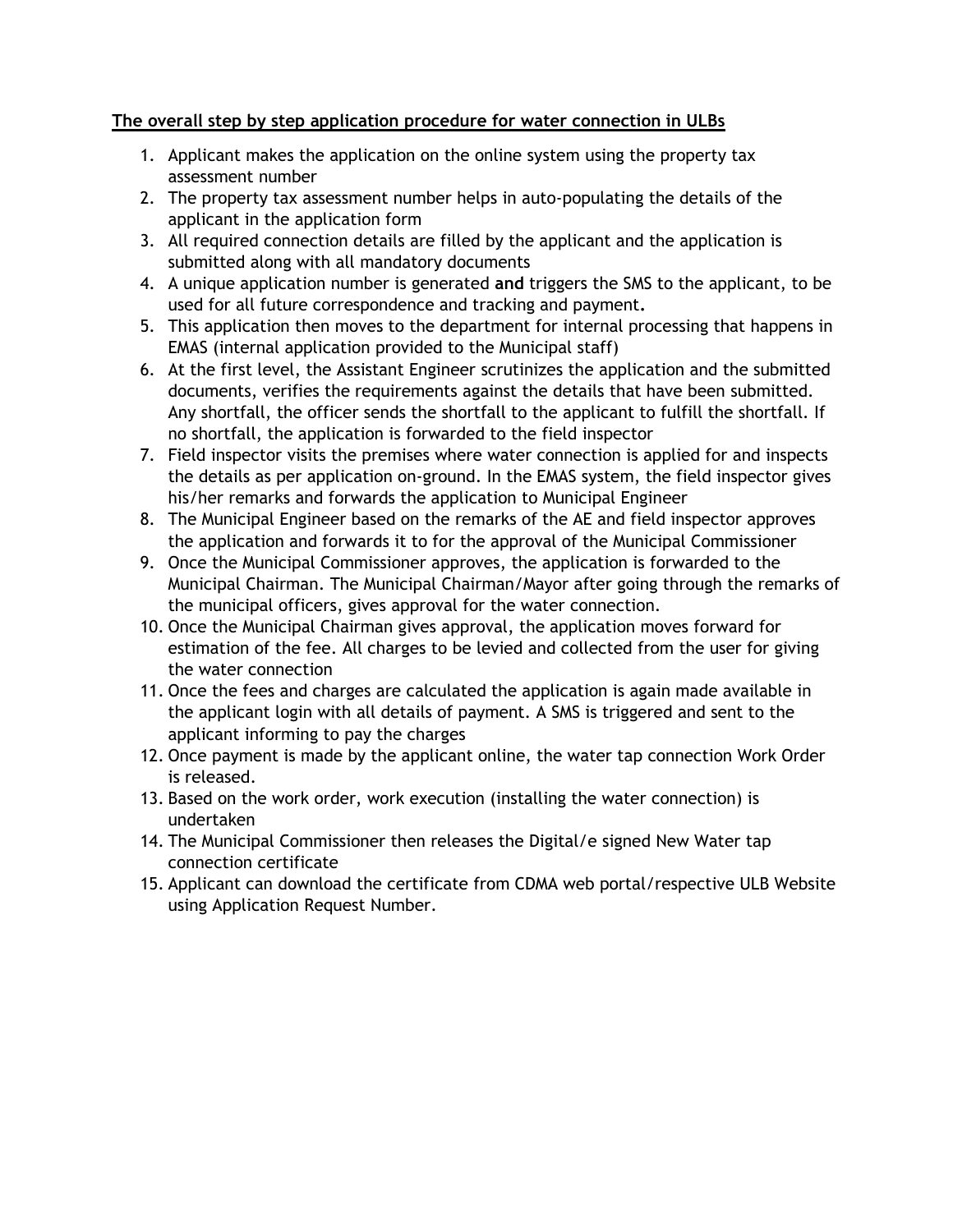## **The overall step by step application procedure for water connection in ULBs**

- 1. Applicant makes the application on the online system using the property tax assessment number
- 2. The property tax assessment number helps in auto-populating the details of the applicant in the application form
- 3. All required connection details are filled by the applicant and the application is submitted along with all mandatory documents
- 4. A unique application number is generated **and** triggers the SMS to the applicant, to be used for all future correspondence and tracking and payment**.**
- 5. This application then moves to the department for internal processing that happens in EMAS (internal application provided to the Municipal staff)
- 6. At the first level, the Assistant Engineer scrutinizes the application and the submitted documents, verifies the requirements against the details that have been submitted. Any shortfall, the officer sends the shortfall to the applicant to fulfill the shortfall. If no shortfall, the application is forwarded to the field inspector
- 7. Field inspector visits the premises where water connection is applied for and inspects the details as per application on-ground. In the EMAS system, the field inspector gives his/her remarks and forwards the application to Municipal Engineer
- 8. The Municipal Engineer based on the remarks of the AE and field inspector approves the application and forwards it to for the approval of the Municipal Commissioner
- 9. Once the Municipal Commissioner approves, the application is forwarded to the Municipal Chairman. The Municipal Chairman/Mayor after going through the remarks of the municipal officers, gives approval for the water connection.
- 10. Once the Municipal Chairman gives approval, the application moves forward for estimation of the fee. All charges to be levied and collected from the user for giving the water connection
- 11. Once the fees and charges are calculated the application is again made available in the applicant login with all details of payment. A SMS is triggered and sent to the applicant informing to pay the charges
- 12. Once payment is made by the applicant online, the water tap connection Work Order is released.
- 13. Based on the work order, work execution (installing the water connection) is undertaken
- 14. The Municipal Commissioner then releases the Digital/e signed New Water tap connection certificate
- 15. Applicant can download the certificate from CDMA web portal/respective ULB Website using Application Request Number.